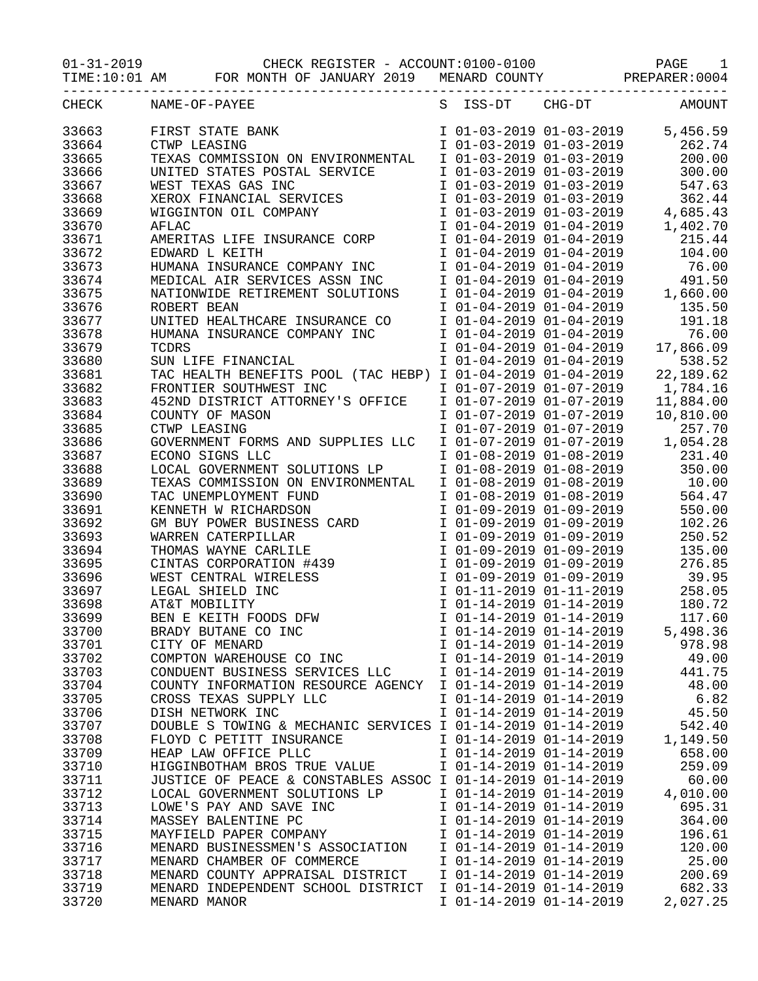01-31-2019 CHECK REGISTER - ACCOUNT:0100-0100 PAGE 1

TIME:10:01 AM FOR MONTH OF JANUARY 2019 MENARD COUNTY PREPARER:0004

| CHECK | NAME-OF-PAYEE                                               | S ISS-DT                | $CHG-DT$                                                                      | AMOUNT    |
|-------|-------------------------------------------------------------|-------------------------|-------------------------------------------------------------------------------|-----------|
| 33663 | FIRST STATE BANK                                            |                         | I 01-03-2019 01-03-2019                                                       | 5,456.59  |
| 33664 | CTWP LEASING                                                |                         | I 01-03-2019 01-03-2019                                                       | 262.74    |
| 33665 | TEXAS COMMISSION ON ENVIRONMENTAL                           |                         | $101-03-201901-03-2019$                                                       | 200.00    |
| 33666 | UNITED STATES POSTAL SERVICE                                |                         | I 01-03-2019 01-03-2019                                                       | 300.00    |
| 33667 | WEST TEXAS GAS INC                                          |                         | I 01-03-2019 01-03-2019                                                       | 547.63    |
| 33668 |                                                             | I 01-03-2019 01-03-2019 |                                                                               | 362.44    |
| 33669 | XEROX FINANCIAL SERVICES<br>WIGGINTON OIL COMPANY           |                         |                                                                               | 4,685.43  |
| 33670 | <b>AFLAC</b>                                                |                         | I 01-03-2019 01-03-2019<br>I 01-04-2019 01-04-2019<br>I 01-04-2019 01-04-2019 | 1,402.70  |
| 33671 | AMERITAS LIFE INSURANCE CORP                                |                         |                                                                               | 215.44    |
| 33672 | EDWARD L KEITH                                              |                         | I 01-04-2019 01-04-2019                                                       | 104.00    |
| 33673 | HUMANA INSURANCE COMPANY INC                                |                         | I 01-04-2019 01-04-2019                                                       | 76.00     |
| 33674 | MEDICAL AIR SERVICES ASSN INC                               |                         |                                                                               | 491.50    |
|       |                                                             |                         | $101-04-2019$<br>101-04-2019 01-04-2019<br>101-04-2019 01-04-2019             |           |
| 33675 | NATIONWIDE RETIREMENT SOLUTIONS                             |                         |                                                                               | 1,660.00  |
| 33676 | ROBERT BEAN                                                 |                         | I 01-04-2019 01-04-2019                                                       | 135.50    |
| 33677 | UNITED HEALTHCARE INSURANCE CO                              |                         | I 01-04-2019 01-04-2019                                                       | 191.18    |
| 33678 | HUMANA INSURANCE COMPANY INC                                |                         | I 01-04-2019 01-04-2019                                                       | 76.00     |
| 33679 | <b>TCDRS</b>                                                | I 01-04-2019 01-04-2019 |                                                                               | 17,866.09 |
| 33680 | SUN LIFE FINANCIAL                                          | I 01-04-2019 01-04-2019 |                                                                               | 538.52    |
| 33681 | TAC HEALTH BENEFITS POOL (TAC HEBP) I 01-04-2019 01-04-2019 |                         |                                                                               | 22,189.62 |
| 33682 | FRONTIER SOUTHWEST INC                                      | I 01-07-2019 01-07-2019 |                                                                               | 1,784.16  |
| 33683 | 452ND DISTRICT ATTORNEY'S OFFICE                            | I 01-07-2019 01-07-2019 |                                                                               | 11,884.00 |
| 33684 | COUNTY OF MASON                                             | I 01-07-2019 01-07-2019 |                                                                               | 10,810.00 |
| 33685 | CTWP LEASING                                                | I 01-07-2019 01-07-2019 |                                                                               | 257.70    |
| 33686 | GOVERNMENT FORMS AND SUPPLIES LLC                           |                         | $101-07-201901-07-2019$<br>$101-07-201901-07-2019$                            | 1,054.28  |
| 33687 | ECONO SIGNS LLC                                             |                         | I 01-08-2019 01-08-2019                                                       | 231.40    |
| 33688 | LOCAL GOVERNMENT SOLUTIONS LP                               |                         | I 01-08-2019 01-08-2019                                                       | 350.00    |
| 33689 | TEXAS COMMISSION ON ENVIRONMENTAL                           | I 01-08-2019 01-08-2019 |                                                                               | 10.00     |
| 33690 | TAC UNEMPLOYMENT FUND                                       | I 01-08-2019 01-08-2019 |                                                                               | 564.47    |
| 33691 | KENNETH W RICHARDSON                                        | I 01-09-2019 01-09-2019 |                                                                               | 550.00    |
| 33692 | GM BUY POWER BUSINESS CARD                                  | I 01-09-2019 01-09-2019 |                                                                               | 102.26    |
| 33693 | WARREN CATERPILLAR                                          | I 01-09-2019 01-09-2019 |                                                                               | 250.52    |
| 33694 |                                                             | I 01-09-2019 01-09-2019 |                                                                               | 135.00    |
| 33695 | THOMAS WAYNE CARLILE<br>CINTAS CORPORATION #439             | I 01-09-2019 01-09-2019 |                                                                               | 276.85    |
| 33696 | WEST CENTRAL WIRELESS                                       |                         | I 01-09-2019 01-09-2019                                                       | 39.95     |
| 33697 | LEGAL SHIELD INC                                            |                         |                                                                               | 258.05    |
| 33698 | AT&T MOBILITY                                               |                         | I 01-11-2019 01-11-2019<br>I 01-14-2019 01-14-2019                            | 180.72    |
| 33699 | BEN E KEITH FOODS DFW                                       |                         | I 01-14-2019 01-14-2019                                                       | 117.60    |
| 33700 | BRADY BUTANE CO INC                                         | I 01-14-2019 01-14-2019 |                                                                               | 5,498.36  |
| 33701 | CITY OF MENARD                                              | I 01-14-2019 01-14-2019 |                                                                               | 978.98    |
| 33702 | COMPTON WAREHOUSE CO INC                                    | I 01-14-2019 01-14-2019 |                                                                               | 49.00     |
| 33703 | CONDUENT BUSINESS SERVICES LLC                              | I 01-14-2019 01-14-2019 |                                                                               | 441.75    |
| 33704 | COUNTY INFORMATION RESOURCE AGENCY                          | I 01-14-2019 01-14-2019 |                                                                               | 48.00     |
|       |                                                             |                         |                                                                               |           |
| 33705 | CROSS TEXAS SUPPLY LLC                                      | I 01-14-2019 01-14-2019 |                                                                               | 6.82      |
| 33706 | DISH NETWORK INC                                            | I 01-14-2019 01-14-2019 |                                                                               | 45.50     |
| 33707 | DOUBLE S TOWING & MECHANIC SERVICES I 01-14-2019 01-14-2019 |                         |                                                                               | 542.40    |
| 33708 | FLOYD C PETITT INSURANCE                                    | I 01-14-2019 01-14-2019 |                                                                               | 1,149.50  |
| 33709 | HEAP LAW OFFICE PLLC                                        | I 01-14-2019 01-14-2019 |                                                                               | 658.00    |
| 33710 | HIGGINBOTHAM BROS TRUE VALUE                                | I 01-14-2019 01-14-2019 |                                                                               | 259.09    |
| 33711 | JUSTICE OF PEACE & CONSTABLES ASSOC I 01-14-2019 01-14-2019 |                         |                                                                               | 60.00     |
| 33712 | LOCAL GOVERNMENT SOLUTIONS LP                               | I 01-14-2019 01-14-2019 |                                                                               | 4,010.00  |
| 33713 | LOWE'S PAY AND SAVE INC                                     | I 01-14-2019 01-14-2019 |                                                                               | 695.31    |
| 33714 | MASSEY BALENTINE PC                                         | I 01-14-2019 01-14-2019 |                                                                               | 364.00    |
| 33715 | MAYFIELD PAPER COMPANY                                      | I 01-14-2019 01-14-2019 |                                                                               | 196.61    |
| 33716 | MENARD BUSINESSMEN'S ASSOCIATION                            | I 01-14-2019 01-14-2019 |                                                                               | 120.00    |
| 33717 | MENARD CHAMBER OF COMMERCE                                  | I 01-14-2019 01-14-2019 |                                                                               | 25.00     |
| 33718 | MENARD COUNTY APPRAISAL DISTRICT                            | I 01-14-2019 01-14-2019 |                                                                               | 200.69    |
| 33719 | MENARD INDEPENDENT SCHOOL DISTRICT                          | I 01-14-2019 01-14-2019 |                                                                               | 682.33    |
| 33720 | MENARD MANOR                                                | I 01-14-2019 01-14-2019 |                                                                               | 2,027.25  |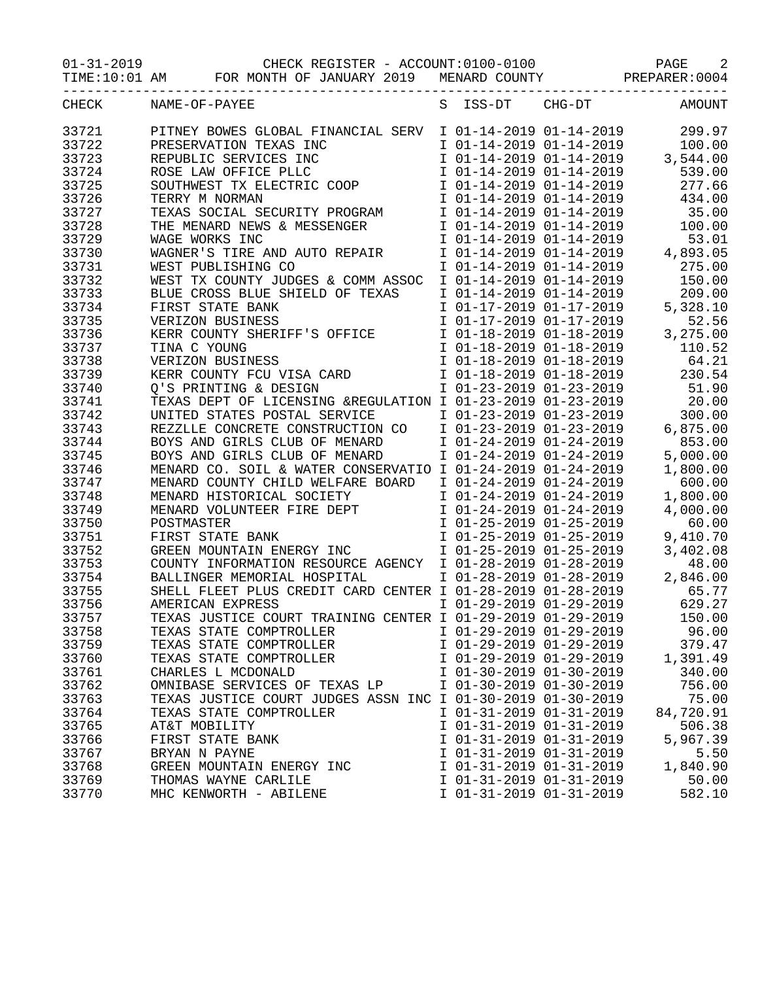01-31-2019 CHECK REGISTER - ACCOUNT:0100-0100 PAGE 2

TIME:10:01 AM FOR MONTH OF JANUARY 2019 MENARD COUNTY PREPARER:0004

| CHECK          | NAME-OF-PAYEE                                                                                    | S | ISS-DT                                             | CHG-DT                                             | AMOUNT             |
|----------------|--------------------------------------------------------------------------------------------------|---|----------------------------------------------------|----------------------------------------------------|--------------------|
| 33721          | PITNEY BOWES GLOBAL FINANCIAL SERV                                                               |   |                                                    | I 01-14-2019 01-14-2019                            | 299.97             |
| 33722          | PRESERVATION TEXAS INC                                                                           |   |                                                    | I 01-14-2019 01-14-2019                            | 100.00             |
| 33723          | REPUBLIC SERVICES INC                                                                            |   |                                                    | I 01-14-2019 01-14-2019<br>I 01-14-2019 01-14-2019 | 3,544.00           |
| 33724          | ROSE LAW OFFICE PLLC                                                                             |   |                                                    | I 01-14-2019 01-14-2019                            | 539.00             |
| 33725          | SOUTHWEST TX ELECTRIC COOP                                                                       |   |                                                    | I 01-14-2019 01-14-2019                            | 277.66             |
| 33726          | TERRY M NORMAN                                                                                   |   | I 01-14-2019 01-14-2019                            |                                                    | 434.00             |
| 33727          | TEXAS SOCIAL SECURITY PROGRAM                                                                    |   | I 01-14-2019 01-14-2019                            |                                                    | 35.00              |
| 33728          | THE MENARD NEWS & MESSENGER                                                                      |   | I 01-14-2019 01-14-2019                            |                                                    | 100.00             |
| 33729          | WAGE WORKS INC                                                                                   |   | I 01-14-2019 01-14-2019                            |                                                    | 53.01              |
| 33730          | WAGNER'S TIRE AND AUTO REPAIR                                                                    |   | I 01-14-2019 01-14-2019                            |                                                    | 4,893.05           |
| 33731          | WEST PUBLISHING CO                                                                               |   | I 01-14-2019 01-14-2019                            |                                                    | 275.00             |
| 33732          | WEST TX COUNTY JUDGES & COMM ASSOC                                                               |   |                                                    | I 01-14-2019 01-14-2019                            | 150.00             |
| 33733          | BLUE CROSS BLUE SHIELD OF TEXAS                                                                  |   | I 01-14-2019 01-14-2019                            |                                                    | 209.00             |
| 33734          | FIRST STATE BANK                                                                                 |   | I 01-17-2019 01-17-2019                            |                                                    | 5,328.10           |
| 33735          |                                                                                                  |   |                                                    |                                                    |                    |
|                | VERIZON BUSINESS                                                                                 |   | I 01-17-2019 01-17-2019<br>I 01-18-2019 01-18-2019 |                                                    | 52.56<br>3,275.00  |
| 33736          | KERR COUNTY SHERIFF'S OFFICE                                                                     |   |                                                    |                                                    |                    |
| 33737          | TINA C YOUNG                                                                                     |   | I 01-18-2019 01-18-2019                            |                                                    | 110.52             |
| 33738          | VERIZON BUSINESS                                                                                 |   | I 01-18-2019 01-18-2019                            |                                                    | 64.21<br>230.54    |
| 33739          | VERIZON BUSINESS<br>KERR COUNTY FCU VISA CARD<br>TILL COUNTY COUNTION                            |   | I 01-18-2019 01-18-2019<br>I 01-23-2019 01-23-2019 |                                                    |                    |
| 33740<br>33741 | Q'S PRINTING & DESIGN                                                                            |   |                                                    |                                                    | 51.90              |
|                | TEXAS DEPT OF LICENSING &REGULATION I 01-23-2019 01-23-2019                                      |   |                                                    |                                                    | 20.00              |
| 33742          | UNITED STATES POSTAL SERVICE                                                                     |   | I 01-23-2019 01-23-2019                            |                                                    | 300.00             |
| 33743          | REZZLLE CONCRETE CONSTRUCTION CO                                                                 |   | I 01-23-2019 01-23-2019<br>I 01-24-2019 01-24-2019 |                                                    | 6,875.00           |
| 33744<br>33745 | BOYS AND GIRLS CLUB OF MENARD<br>BOYS AND GIRLS CLUB OF MENARD                                   |   | I 01-24-2019 01-24-2019                            |                                                    | 853.00<br>5,000.00 |
| 33746          |                                                                                                  |   |                                                    |                                                    | 1,800.00           |
| 33747          | MENARD CO. SOIL & WATER CONSERVATIO I 01-24-2019 01-24-2019<br>MENARD COUNTY CHILD WELFARE BOARD |   | I 01-24-2019 01-24-2019                            |                                                    | 600.00             |
| 33748          | MENARD HISTORICAL SOCIETY                                                                        |   | I 01-24-2019 01-24-2019                            |                                                    | 1,800.00           |
| 33749          | MENARD VOLUNTEER FIRE DEPT                                                                       |   | I 01-24-2019 01-24-2019                            |                                                    | 4,000.00           |
| 33750          | POSTMASTER                                                                                       |   | I 01-25-2019 01-25-2019                            |                                                    | 60.00              |
| 33751          | FIRST STATE BANK                                                                                 |   | I 01-25-2019 01-25-2019                            |                                                    | 9,410.70           |
| 33752          | GREEN MOUNTAIN ENERGY INC                                                                        |   | I 01-25-2019 01-25-2019                            |                                                    | 3,402.08           |
| 33753          | COUNTY INFORMATION RESOURCE AGENCY                                                               |   | I 01-28-2019 01-28-2019                            |                                                    | 48.00              |
| 33754          | BALLINGER MEMORIAL HOSPITAL                                                                      |   | I 01-28-2019 01-28-2019                            |                                                    | 2,846.00           |
| 33755          | SHELL FLEET PLUS CREDIT CARD CENTER I 01-28-2019 01-28-2019                                      |   |                                                    |                                                    | 65.77              |
| 33756          | AMERICAN EXPRESS                                                                                 |   |                                                    | I 01-29-2019 01-29-2019                            | 629.27             |
| 33757          | TEXAS JUSTICE COURT TRAINING CENTER I 01-29-2019 01-29-2019                                      |   |                                                    |                                                    | 150.00             |
| 33758          | TEXAS STATE COMPTROLLER                                                                          |   | I 01-29-2019 01-29-2019                            |                                                    | 96.00              |
| 33759          | TEXAS STATE COMPTROLLER                                                                          |   | I 01-29-2019 01-29-2019                            |                                                    | 379.47             |
| 33760          | TEXAS STATE COMPTROLLER                                                                          |   | I 01-29-2019 01-29-2019                            |                                                    | 1,391.49           |
| 33761          | CHARLES L MCDONALD                                                                               |   | I 01-30-2019 01-30-2019                            |                                                    | 340.00             |
| 33762          | OMNIBASE SERVICES OF TEXAS LP                                                                    |   | I 01-30-2019 01-30-2019                            |                                                    | 756.00             |
| 33763          | TEXAS JUSTICE COURT JUDGES ASSN INC I 01-30-2019 01-30-2019                                      |   |                                                    |                                                    | 75.00              |
| 33764          | TEXAS STATE COMPTROLLER                                                                          |   | I 01-31-2019 01-31-2019                            |                                                    | 84,720.91          |
| 33765          | AT&T MOBILITY                                                                                    |   | I 01-31-2019 01-31-2019                            |                                                    | 506.38             |
| 33766          | FIRST STATE BANK                                                                                 |   | I 01-31-2019 01-31-2019                            |                                                    | 5,967.39           |
| 33767          | BRYAN N PAYNE                                                                                    |   | I 01-31-2019 01-31-2019                            |                                                    | 5.50               |
| 33768          | GREEN MOUNTAIN ENERGY INC                                                                        |   | I 01-31-2019 01-31-2019                            |                                                    | 1,840.90           |
| 33769          | THOMAS WAYNE CARLILE                                                                             |   | I 01-31-2019 01-31-2019                            |                                                    | 50.00              |
| 33770          | MHC KENWORTH - ABILENE                                                                           |   | I 01-31-2019 01-31-2019                            |                                                    | 582.10             |
|                |                                                                                                  |   |                                                    |                                                    |                    |